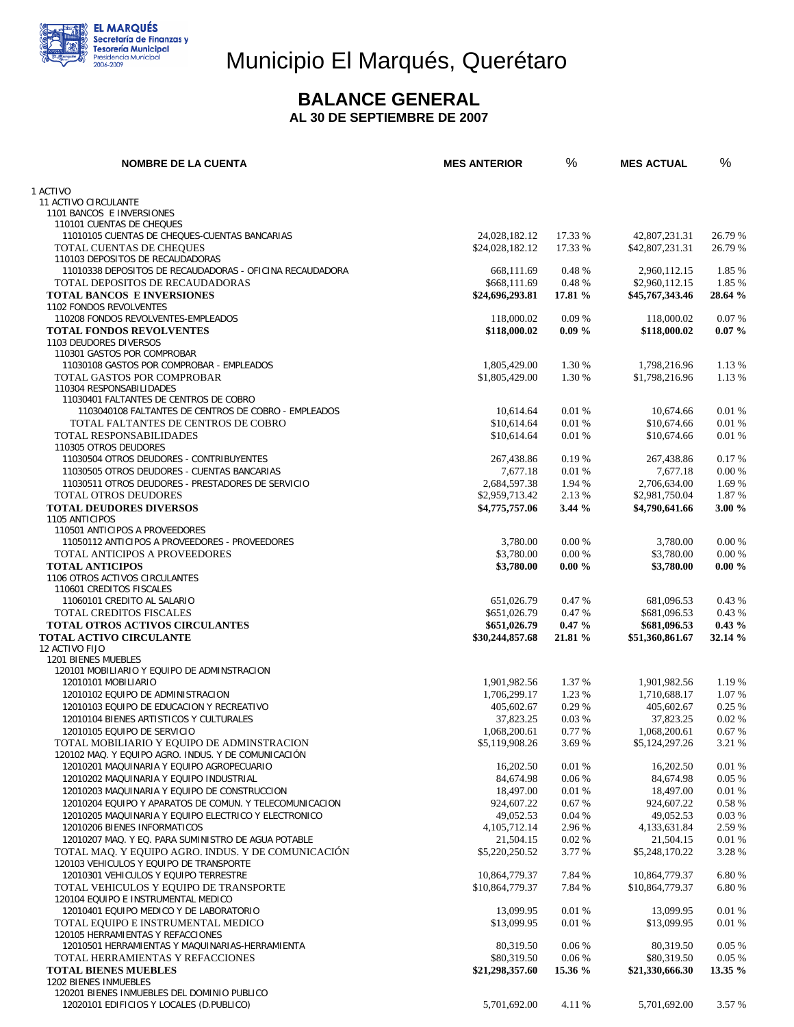

# Municipio El Marqués, Querétaro

### **BALANCE GENERAL**

 **AL 30 DE SEPTIEMBRE DE 2007** 

| <b>NOMBRE DE LA CUENTA</b>                                                                    | <b>MES ANTERIOR</b>     | %                | <b>MES ACTUAL</b>       | %                |
|-----------------------------------------------------------------------------------------------|-------------------------|------------------|-------------------------|------------------|
| 1 ACTIVO                                                                                      |                         |                  |                         |                  |
| 11 ACTIVO CIRCULANTE                                                                          |                         |                  |                         |                  |
| 1101 BANCOS E INVERSIONES                                                                     |                         |                  |                         |                  |
| 110101 CUENTAS DE CHEQUES                                                                     |                         |                  |                         |                  |
| 11010105 CUENTAS DE CHEQUES-CUENTAS BANCARIAS                                                 | 24,028,182.12           | 17.33 %          | 42,807,231.31           | 26.79 %          |
| TOTAL CUENTAS DE CHEQUES<br>110103 DEPOSITOS DE RECAUDADORAS                                  | \$24,028,182.12         | 17.33 %          | \$42,807,231.31         | 26.79 %          |
| 11010338 DEPOSITOS DE RECAUDADORAS - OFICINA RECAUDADORA                                      | 668,111.69              | 0.48 %           | 2,960,112.15            | 1.85 %           |
| TOTAL DEPOSITOS DE RECAUDADORAS                                                               | \$668,111.69            | 0.48%            | \$2,960,112.15          | 1.85 %           |
| <b>TOTAL BANCOS E INVERSIONES</b>                                                             | \$24,696,293.81         | 17.81 %          | \$45,767,343.46         | 28.64 %          |
| 1102 FONDOS REVOLVENTES                                                                       |                         |                  |                         |                  |
| 110208 FONDOS REVOLVENTES-EMPLEADOS                                                           | 118,000.02              | 0.09%            | 118,000.02              | 0.07%            |
| <b>TOTAL FONDOS REVOLVENTES</b>                                                               | \$118,000.02            | $0.09\%$         | \$118,000.02            | $0.07\%$         |
| 1103 DEUDORES DIVERSOS<br>110301 GASTOS POR COMPROBAR                                         |                         |                  |                         |                  |
| 11030108 GASTOS POR COMPROBAR - EMPLEADOS                                                     | 1,805,429.00            | 1.30 %           | 1,798,216.96            | 1.13 %           |
| TOTAL GASTOS POR COMPROBAR                                                                    | \$1,805,429.00          | 1.30 %           | \$1,798,216.96          | 1.13 %           |
| 110304 RESPONSABILIDADES                                                                      |                         |                  |                         |                  |
| 11030401 FALTANTES DE CENTROS DE COBRO                                                        |                         |                  |                         |                  |
| 1103040108 FALTANTES DE CENTROS DE COBRO - EMPLEADOS                                          | 10,614.64               | 0.01%            | 10,674.66               | 0.01%            |
| TOTAL FALTANTES DE CENTROS DE COBRO                                                           | \$10,614.64             | 0.01%            | \$10,674.66             | 0.01%            |
| TOTAL RESPONSABILIDADES                                                                       | \$10,614.64             | 0.01 %           | \$10,674.66             | 0.01 %           |
| 110305 OTROS DEUDORES                                                                         |                         |                  |                         |                  |
| 11030504 OTROS DEUDORES - CONTRIBUYENTES<br>11030505 OTROS DEUDORES - CUENTAS BANCARIAS       | 267,438.86<br>7,677.18  | 0.19 %<br>0.01 % | 267,438.86<br>7,677.18  | 0.17 %<br>0.00 % |
| 11030511 OTROS DEUDORES - PRESTADORES DE SERVICIO                                             | 2,684,597.38            | 1.94 %           | 2,706,634.00            | 1.69 %           |
| TOTAL OTROS DEUDORES                                                                          | \$2,959,713.42          | 2.13 %           | \$2,981,750.04          | 1.87 %           |
| <b>TOTAL DEUDORES DIVERSOS</b>                                                                | \$4,775,757.06          | 3.44%            | \$4,790,641.66          | 3.00%            |
| 1105 ANTICIPOS                                                                                |                         |                  |                         |                  |
| 110501 ANTICIPOS A PROVEEDORES                                                                |                         |                  |                         |                  |
| 11050112 ANTICIPOS A PROVEEDORES - PROVEEDORES                                                | 3,780.00                | 0.00 %           | 3,780.00                | 0.00 %           |
| TOTAL ANTICIPOS A PROVEEDORES                                                                 | \$3,780.00              | 0.00%            | \$3,780.00              | $0.00\%$         |
| <b>TOTAL ANTICIPOS</b>                                                                        | \$3,780.00              | $0.00 \%$        | \$3,780.00              | $0.00 \%$        |
| 1106 OTROS ACTIVOS CIRCULANTES                                                                |                         |                  |                         |                  |
| 110601 CREDITOS FISCALES<br>11060101 CREDITO AL SALARIO                                       | 651,026.79              | 0.47 %           | 681,096.53              | 0.43%            |
| <b>TOTAL CREDITOS FISCALES</b>                                                                | \$651,026.79            | 0.47 %           | \$681,096.53            | 0.43%            |
| <b>TOTAL OTROS ACTIVOS CIRCULANTES</b>                                                        | \$651,026.79            | $0.47 \%$        | \$681,096.53            | $0.43\%$         |
| <b>TOTAL ACTIVO CIRCULANTE</b>                                                                | \$30,244,857.68         | 21.81 %          | \$51,360,861.67         | 32.14 %          |
| 12 ACTIVO FIJO                                                                                |                         |                  |                         |                  |
| 1201 BIENES MUEBLES                                                                           |                         |                  |                         |                  |
| 120101 MOBILIARIO Y EQUIPO DE ADMINSTRACION                                                   |                         |                  |                         |                  |
| 12010101 MOBILIARIO                                                                           | 1,901,982.56            | 1.37 %           | 1,901,982.56            | 1.19 %           |
| 12010102 EQUIPO DE ADMINISTRACION<br>12010103 EQUIPO DE EDUCACION Y RECREATIVO                | 1,706,299.17            | 1.23 %<br>0.29 % | 1,710,688.17            | 1.07 %<br>0.25%  |
| 12010104 BIENES ARTISTICOS Y CULTURALES                                                       | 405,602.67<br>37,823.25 | 0.03%            | 405,602.67<br>37,823.25 | 0.02 %           |
| 12010105 EQUIPO DE SERVICIO                                                                   | 1,068,200.61            | 0.77 %           | 1,068,200.61            | 0.67%            |
| TOTAL MOBILIARIO Y EQUIPO DE ADMINSTRACION                                                    | \$5,119,908.26          | 3.69 %           | \$5,124,297.26          | 3.21 %           |
| 120102 MAQ. Y EQUIPO AGRO. INDUS. Y DE COMUNICACIÓN                                           |                         |                  |                         |                  |
| 12010201 MAQUINARIA Y EQUIPO AGROPECUARIO                                                     | 16,202.50               | 0.01%            | 16.202.50               | 0.01%            |
| 12010202 MAQUINARIA Y EQUIPO INDUSTRIAL                                                       | 84,674.98               | 0.06%            | 84,674.98               | 0.05%            |
| 12010203 MAQUINARIA Y EQUIPO DE CONSTRUCCION                                                  | 18,497.00               | 0.01%            | 18,497.00               | 0.01%            |
| 12010204 EQUIPO Y APARATOS DE COMUN. Y TELECOMUNICACION                                       | 924,607.22              | 0.67%            | 924,607.22              | 0.58%            |
| 12010205 MAQUINARIA Y EQUIPO ELECTRICO Y ELECTRONICO                                          | 49,052.53               | 0.04%            | 49,052.53               | 0.03%            |
| 12010206 BIENES INFORMATICOS                                                                  | 4, 105, 712. 14         | 2.96 %           | 4,133,631.84            | 2.59 %           |
| 12010207 MAQ. Y EQ. PARA SUMINISTRO DE AGUA POTABLE                                           | 21,504.15               | 0.02%            | 21,504.15               | 0.01%            |
| TOTAL MAQ. Y EQUIPO AGRO. INDUS. Y DE COMUNICACIÓN<br>120103 VEHICULOS Y EQUIPO DE TRANSPORTE | \$5,220,250.52          | 3.77 %           | \$5,248,170.22          | 3.28 %           |
| 12010301 VEHICULOS Y EQUIPO TERRESTRE                                                         | 10,864,779.37           | 7.84 %           | 10,864,779.37           | 6.80 %           |
| TOTAL VEHICULOS Y EQUIPO DE TRANSPORTE                                                        | \$10,864,779.37         | 7.84 %           | \$10,864,779.37         | 6.80 %           |
| 120104 EQUIPO E INSTRUMENTAL MEDICO                                                           |                         |                  |                         |                  |
| 12010401 EQUIPO MEDICO Y DE LABORATORIO                                                       | 13,099.95               | 0.01%            | 13,099.95               | 0.01 %           |
| TOTAL EQUIPO E INSTRUMENTAL MEDICO                                                            | \$13,099.95             | 0.01%            | \$13,099.95             | 0.01%            |
| 120105 HERRAMIENTAS Y REFACCIONES                                                             |                         |                  |                         |                  |
| 12010501 HERRAMIENTAS Y MAQUINARIAS-HERRAMIENTA                                               | 80,319.50               | 0.06%            | 80,319.50               | 0.05%            |
| TOTAL HERRAMIENTAS Y REFACCIONES                                                              | \$80,319.50             | 0.06%            | \$80,319.50             | 0.05%            |
| <b>TOTAL BIENES MUEBLES</b>                                                                   | \$21,298,357.60         | 15.36 %          | \$21,330,666.30         | 13.35 %          |
| 1202 BIENES INMUEBLES<br>120201 BIENES INMUEBLES DEL DOMINIO PUBLICO                          |                         |                  |                         |                  |
| 12020101 EDIFICIOS Y LOCALES (D.PUBLICO)                                                      | 5,701,692.00            | 4.11 %           | 5,701,692.00            | 3.57 %           |
|                                                                                               |                         |                  |                         |                  |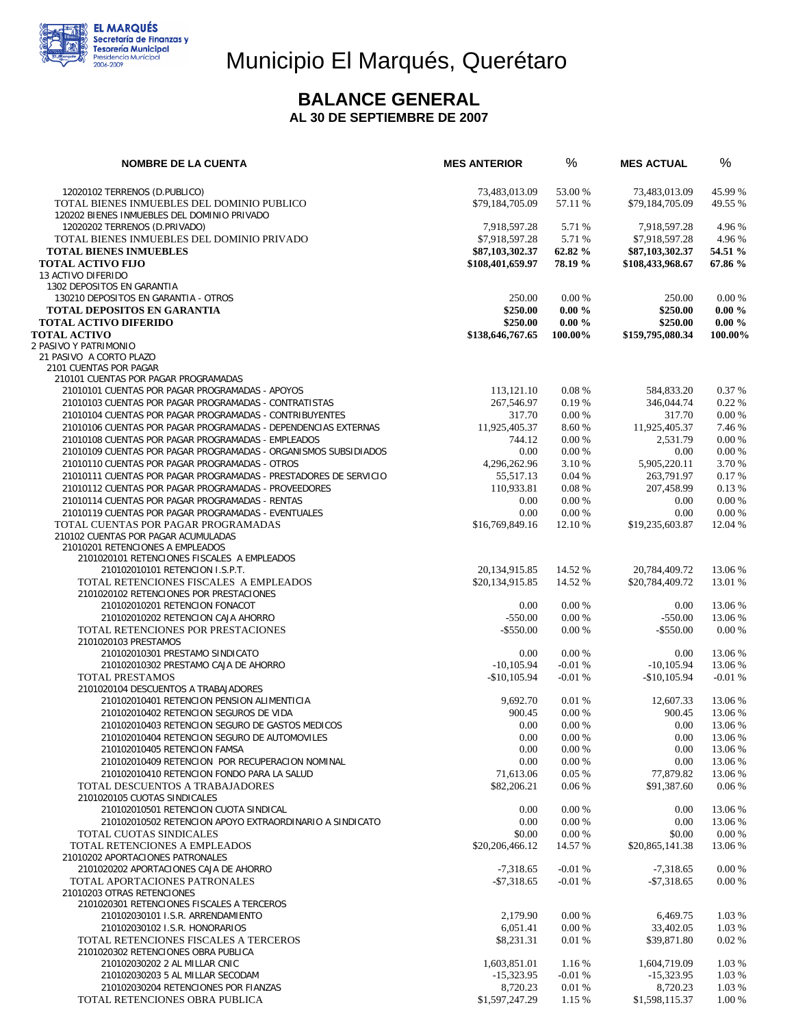

## Municipio El Marqués, Querétaro

#### **BALANCE GENERAL**

#### **AL 30 DE SEPTIEMBRE DE 2007**

| <b>NOMBRE DE LA CUENTA</b>                                                                                               | <b>MES ANTERIOR</b>               | $\%$                   | <b>MES ACTUAL</b>                 | %                      |
|--------------------------------------------------------------------------------------------------------------------------|-----------------------------------|------------------------|-----------------------------------|------------------------|
| 12020102 TERRENOS (D.PUBLICO)                                                                                            | 73.483.013.09                     | 53.00 %                | 73,483,013.09                     | 45.99 %                |
| TOTAL BIENES INMUEBLES DEL DOMINIO PUBLICO                                                                               | \$79,184,705.09                   | 57.11 %                | \$79,184,705.09                   | 49.55 %                |
| 120202 BIENES INMUEBLES DEL DOMINIO PRIVADO                                                                              |                                   |                        |                                   |                        |
| 12020202 TERRENOS (D.PRIVADO)                                                                                            | 7.918.597.28                      | 5.71 %                 | 7.918.597.28                      | 4.96 %                 |
| TOTAL BIENES INMUEBLES DEL DOMINIO PRIVADO<br><b>TOTAL BIENES INMUEBLES</b>                                              | \$7,918,597.28<br>\$87,103,302.37 | 5.71 %<br>62.82 %      | \$7,918,597.28<br>\$87,103,302.37 | 4.96 %<br>54.51 %      |
| <b>TOTAL ACTIVO FIJO</b>                                                                                                 | \$108,401,659.97                  | 78.19 %                | \$108,433,968.67                  | 67.86 %                |
| 13 ACTIVO DIFERIDO                                                                                                       |                                   |                        |                                   |                        |
| 1302 DEPOSITOS EN GARANTIA                                                                                               |                                   |                        |                                   |                        |
| 130210 DEPOSITOS EN GARANTIA - OTROS                                                                                     | 250.00                            | 0.00%                  | 250.00                            | 0.00 %                 |
| <b>TOTAL DEPOSITOS EN GARANTIA</b><br><b>TOTAL ACTIVO DIFERIDO</b>                                                       | \$250.00<br>\$250.00              | $0.00 \%$<br>$0.00 \%$ | \$250.00<br>\$250.00              | $0.00 \%$<br>$0.00 \%$ |
| <b>TOTAL ACTIVO</b>                                                                                                      | \$138,646,767.65                  | 100.00%                | \$159,795,080.34                  | 100.00%                |
| 2 PASIVO Y PATRIMONIO                                                                                                    |                                   |                        |                                   |                        |
| 21 PASIVO A CORTO PLAZO                                                                                                  |                                   |                        |                                   |                        |
| 2101 CUENTAS POR PAGAR                                                                                                   |                                   |                        |                                   |                        |
| 210101 CUENTAS POR PAGAR PROGRAMADAS<br>21010101 CUENTAS POR PAGAR PROGRAMADAS - APOYOS                                  | 113,121.10                        | 0.08%                  | 584,833.20                        | 0.37%                  |
| 21010103 CUENTAS POR PAGAR PROGRAMADAS - CONTRATISTAS                                                                    | 267,546.97                        | 0.19%                  | 346,044.74                        | 0.22%                  |
| 21010104 CUENTAS POR PAGAR PROGRAMADAS - CONTRIBUYENTES                                                                  | 317.70                            | 0.00%                  | 317.70                            | 0.00 %                 |
| 21010106 CUENTAS POR PAGAR PROGRAMADAS - DEPENDENCIAS EXTERNAS                                                           | 11,925,405.37                     | 8.60 %                 | 11,925,405.37                     | 7.46 %                 |
| 21010108 CUENTAS POR PAGAR PROGRAMADAS - EMPLEADOS                                                                       | 744.12                            | 0.00 %                 | 2,531.79                          | 0.00 %                 |
| 21010109 CUENTAS POR PAGAR PROGRAMADAS - ORGANISMOS SUBSIDIADOS                                                          | 0.00                              | 0.00%                  | 0.00                              | 0.00%                  |
| 21010110 CUENTAS POR PAGAR PROGRAMADAS - OTROS                                                                           | 4.296.262.96                      | 3.10 %                 | 5,905,220.11                      | 3.70 %                 |
| 21010111 CUENTAS POR PAGAR PROGRAMADAS - PRESTADORES DE SERVICIO<br>21010112 CUENTAS POR PAGAR PROGRAMADAS - PROVEEDORES | 55,517.13                         | 0.04%<br>0.08%         | 263,791.97                        | 0.17%<br>0.13 %        |
| 21010114 CUENTAS POR PAGAR PROGRAMADAS - RENTAS                                                                          | 110,933.81<br>0.00                | 0.00%                  | 207,458.99<br>0.00                | 0.00 %                 |
| 21010119 CUENTAS POR PAGAR PROGRAMADAS - EVENTUALES                                                                      | 0.00                              | 0.00 %                 | 0.00                              | 0.00 %                 |
| TOTAL CUENTAS POR PAGAR PROGRAMADAS                                                                                      | \$16,769,849.16                   | 12.10 %                | \$19,235,603.87                   | 12.04 %                |
| 210102 CUENTAS POR PAGAR ACUMULADAS                                                                                      |                                   |                        |                                   |                        |
| 21010201 RETENCIONES A EMPLEADOS                                                                                         |                                   |                        |                                   |                        |
| 2101020101 RETENCIONES FISCALES A EMPLEADOS<br>210102010101 RETENCION I.S.P.T.                                           | 20, 134, 915.85                   | 14.52 %                | 20,784,409.72                     | 13.06 %                |
| TOTAL RETENCIONES FISCALES A EMPLEADOS                                                                                   | \$20,134,915.85                   | 14.52 %                | \$20,784,409.72                   | 13.01 %                |
| 2101020102 RETENCIONES POR PRESTACIONES                                                                                  |                                   |                        |                                   |                        |
| 210102010201 RETENCION FONACOT                                                                                           | 0.00                              | 0.00 %                 | 0.00                              | 13.06 %                |
| 210102010202 RETENCION CAJA AHORRO                                                                                       | $-550.00$                         | 0.00%                  | $-550.00$                         | 13.06 %                |
| TOTAL RETENCIONES POR PRESTACIONES                                                                                       | $-$ \$550.00                      | 0.00 %                 | $-$ \$550.00                      | 0.00 %                 |
| 2101020103 PRESTAMOS<br>210102010301 PRESTAMO SINDICATO                                                                  | 0.00                              | 0.00 %                 | 0.00                              | 13.06 %                |
| 210102010302 PRESTAMO CAJA DE AHORRO                                                                                     | $-10, 105.94$                     | $-0.01%$               | $-10, 105.94$                     | 13.06 %                |
| <b>TOTAL PRESTAMOS</b>                                                                                                   | $-$10,105.94$                     | $-0.01%$               | $-$10,105.94$                     | $-0.01%$               |
| 2101020104 DESCUENTOS A TRABAJADORES                                                                                     |                                   |                        |                                   |                        |
| 210102010401 RETENCION PENSION ALIMENTICIA                                                                               | 9,692.70                          | 0.01%                  | 12,607.33                         | 13.06 %                |
| 210102010402 RETENCION SEGUROS DE VIDA                                                                                   | 900.45                            | 0.00%                  | 900.45                            | 13.06 %                |
| 210102010403 RETENCION SEGURO DE GASTOS MEDICOS<br>210102010404 RETENCION SEGURO DE AUTOMOVILES                          | 0.00<br>0.00                      | 0.00%<br>0.00%         | 0.00<br>0.00                      | 13.06 %<br>13.06 %     |
| 210102010405 RETENCION FAMSA                                                                                             | 0.00                              | 0.00%                  | 0.00                              | 13.06 %                |
| 210102010409 RETENCION POR RECUPERACION NOMINAL                                                                          | 0.00                              | 0.00%                  | 0.00                              | 13.06 %                |
| 210102010410 RETENCION FONDO PARA LA SALUD                                                                               | 71,613.06                         | 0.05%                  | 77,879.82                         | 13.06 %                |
| TOTAL DESCUENTOS A TRABAJADORES                                                                                          | \$82,206.21                       | 0.06%                  | \$91,387.60                       | 0.06%                  |
| 2101020105 CUOTAS SINDICALES                                                                                             |                                   |                        |                                   |                        |
| 210102010501 RETENCION CUOTA SINDICAL<br>210102010502 RETENCION APOYO EXTRAORDINARIO A SINDICATO                         | 0.00<br>0.00                      | 0.00 %<br>0.00%        | 0.00<br>0.00                      | 13.06 %<br>13.06 %     |
| TOTAL CUOTAS SINDICALES                                                                                                  | \$0.00                            | 0.00 %                 | \$0.00                            | 0.00 %                 |
| TOTAL RETENCIONES A EMPLEADOS                                                                                            | \$20,206,466.12                   | 14.57 %                | \$20,865,141.38                   | 13.06 %                |
| 21010202 APORTACIONES PATRONALES                                                                                         |                                   |                        |                                   |                        |
| 2101020202 APORTACIONES CAJA DE AHORRO                                                                                   | $-7,318.65$                       | $-0.01%$               | $-7,318.65$                       | $0.00\%$               |
| TOTAL APORTACIONES PATRONALES                                                                                            | $-$7,318.65$                      | $-0.01%$               | $-$7,318.65$                      | 0.00 %                 |
| 21010203 OTRAS RETENCIONES<br>2101020301 RETENCIONES FISCALES A TERCEROS                                                 |                                   |                        |                                   |                        |
| 210102030101 I.S.R. ARRENDAMIENTO                                                                                        | 2,179.90                          | 0.00 %                 | 6,469.75                          | 1.03 %                 |
| 210102030102 I.S.R. HONORARIOS                                                                                           | 6,051.41                          | 0.00 %                 | 33,402.05                         | 1.03 %                 |
| TOTAL RETENCIONES FISCALES A TERCEROS                                                                                    | \$8,231.31                        | 0.01%                  | \$39,871.80                       | 0.02 %                 |
| 2101020302 RETENCIONES OBRA PUBLICA                                                                                      |                                   |                        |                                   |                        |
| 210102030202 2 AL MILLAR CNIC                                                                                            | 1,603,851.01                      | 1.16 %                 | 1,604,719.09                      | 1.03 %<br>1.03 %       |
| 210102030203 5 AL MILLAR SECODAM<br>210102030204 RETENCIONES POR FIANZAS                                                 | $-15,323.95$<br>8,720.23          | $-0.01%$<br>0.01%      | $-15,323.95$<br>8,720.23          | 1.03 %                 |
| TOTAL RETENCIONES OBRA PUBLICA                                                                                           | \$1,597,247.29                    | 1.15 %                 | \$1,598,115.37                    | 1.00 %                 |
|                                                                                                                          |                                   |                        |                                   |                        |